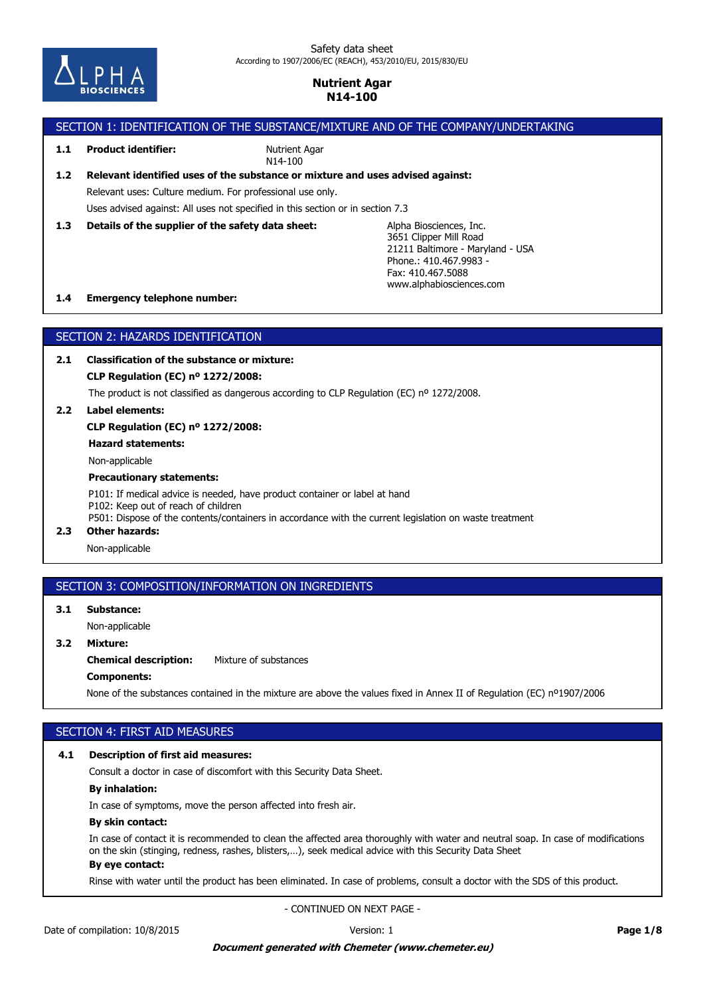

### SECTION 1: IDENTIFICATION OF THE SUBSTANCE/MIXTURE AND OF THE COMPANY/UNDERTAKING Alpha Biosciences, Inc. 3651 Clipper Mill Road 21211 Baltimore - Maryland - USA Phone.: 410.467.9983 - Fax: 410.467.5088 **1.3 Details of the supplier of the safety data sheet:** Uses advised against: All uses not specified in this section or in section 7.3 Relevant uses: Culture medium. For professional use only. **1.2 Relevant identified uses of the substance or mixture and uses advised against:** Nutrient Agar N14-100 **1.1 Product identifier:**

www.alphabiosciences.com

#### **1.4 Emergency telephone number:**

### SECTION 2: HAZARDS IDENTIFICATION

**2.1 Classification of the substance or mixture:**

**CLP Regulation (EC) nº 1272/2008:**

The product is not classified as dangerous according to CLP Regulation (EC) nº 1272/2008.

**2.2 Label elements:**

**CLP Regulation (EC) nº 1272/2008:**

**Hazard statements:**

Non-applicable

#### **Precautionary statements:**

P101: If medical advice is needed, have product container or label at hand P102: Keep out of reach of children P501: Dispose of the contents/containers in accordance with the current legislation on waste treatment

# **2.3 Other hazards:**

Non-applicable

# SECTION 3: COMPOSITION/INFORMATION ON INGREDIENTS

**3.1 Substance:**

Non-applicable

## **3.2 Mixture:**

**Chemical description:** Mixture of substances

### **Components:**

None of the substances contained in the mixture are above the values fixed in Annex II of Regulation (EC) nº1907/2006

# SECTION 4: FIRST AID MEASURES

### **4.1 Description of first aid measures:**

Consult a doctor in case of discomfort with this Security Data Sheet.

### **By inhalation:**

In case of symptoms, move the person affected into fresh air.

#### **By skin contact:**

In case of contact it is recommended to clean the affected area thoroughly with water and neutral soap. In case of modifications on the skin (stinging, redness, rashes, blisters,…), seek medical advice with this Security Data Sheet

# **By eye contact:**

Rinse with water until the product has been eliminated. In case of problems, consult a doctor with the SDS of this product.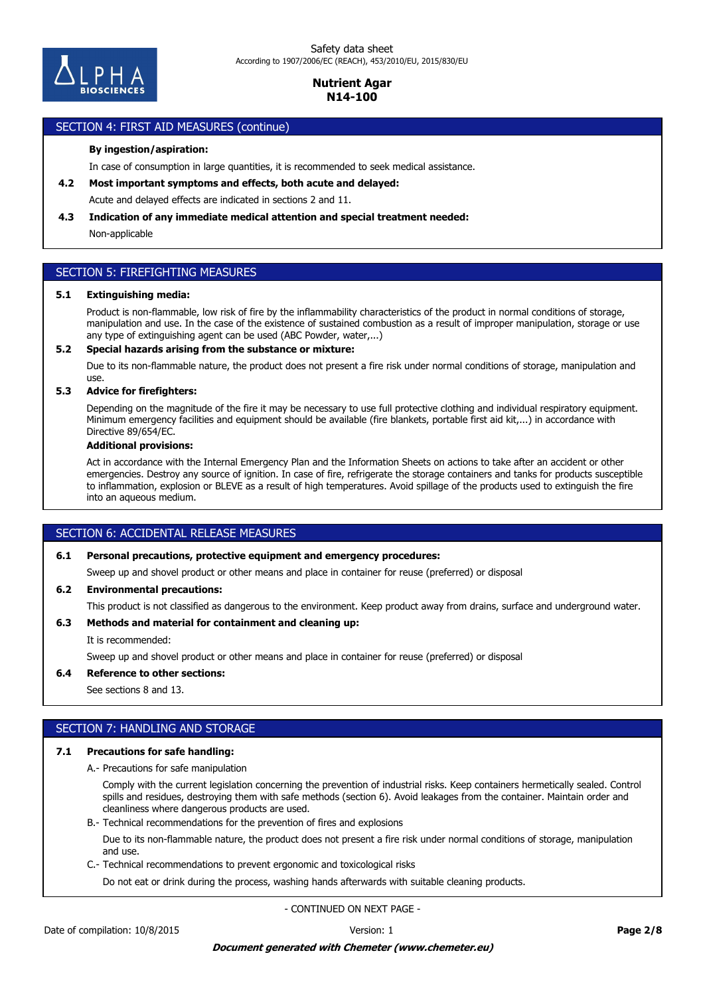

### SECTION 4: FIRST AID MEASURES (continue)

### **By ingestion/aspiration:**

In case of consumption in large quantities, it is recommended to seek medical assistance.

**4.2 Most important symptoms and effects, both acute and delayed:**

Acute and delayed effects are indicated in sections 2 and 11.

#### **4.3 Indication of any immediate medical attention and special treatment needed:**

Non-applicable

## SECTION 5: FIREFIGHTING MEASURES

#### **5.1 Extinguishing media:**

Product is non-flammable, low risk of fire by the inflammability characteristics of the product in normal conditions of storage, manipulation and use. In the case of the existence of sustained combustion as a result of improper manipulation, storage or use any type of extinguishing agent can be used (ABC Powder, water,...)

#### **5.2 Special hazards arising from the substance or mixture:**

Due to its non-flammable nature, the product does not present a fire risk under normal conditions of storage, manipulation and use.

### **5.3 Advice for firefighters:**

Depending on the magnitude of the fire it may be necessary to use full protective clothing and individual respiratory equipment. Minimum emergency facilities and equipment should be available (fire blankets, portable first aid kit,...) in accordance with Directive 89/654/EC.

#### **Additional provisions:**

Act in accordance with the Internal Emergency Plan and the Information Sheets on actions to take after an accident or other emergencies. Destroy any source of ignition. In case of fire, refrigerate the storage containers and tanks for products susceptible to inflammation, explosion or BLEVE as a result of high temperatures. Avoid spillage of the products used to extinguish the fire into an aqueous medium.

## SECTION 6: ACCIDENTAL RELEASE MEASURES

### **6.1 Personal precautions, protective equipment and emergency procedures:**

Sweep up and shovel product or other means and place in container for reuse (preferred) or disposal

#### **6.2 Environmental precautions:**

This product is not classified as dangerous to the environment. Keep product away from drains, surface and underground water.

### **6.3 Methods and material for containment and cleaning up:**

It is recommended:

Sweep up and shovel product or other means and place in container for reuse (preferred) or disposal

#### **6.4 Reference to other sections:**

See sections 8 and 13.

## SECTION 7: HANDLING AND STORAGE

#### **7.1 Precautions for safe handling:**

A.- Precautions for safe manipulation

Comply with the current legislation concerning the prevention of industrial risks. Keep containers hermetically sealed. Control spills and residues, destroying them with safe methods (section 6). Avoid leakages from the container. Maintain order and cleanliness where dangerous products are used.

B.- Technical recommendations for the prevention of fires and explosions

Due to its non-flammable nature, the product does not present a fire risk under normal conditions of storage, manipulation and use.

C.- Technical recommendations to prevent ergonomic and toxicological risks

Do not eat or drink during the process, washing hands afterwards with suitable cleaning products.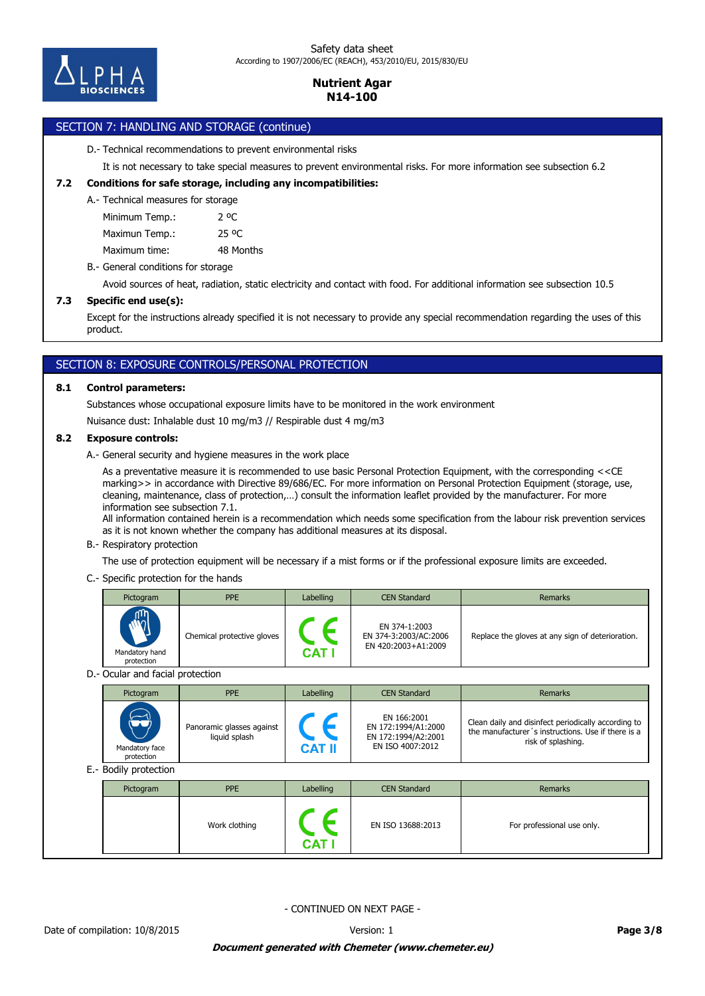

# SECTION 7: HANDLING AND STORAGE (continue)

#### D.- Technical recommendations to prevent environmental risks

It is not necessary to take special measures to prevent environmental risks. For more information see subsection 6.2

### **7.2 Conditions for safe storage, including any incompatibilities:**

A.- Technical measures for storage

Minimum Temp.: 2 °C

Maximun Temp.: 25 °C

Maximum time: 48 Months

B.- General conditions for storage

Avoid sources of heat, radiation, static electricity and contact with food. For additional information see subsection 10.5

### **7.3 Specific end use(s):**

Except for the instructions already specified it is not necessary to provide any special recommendation regarding the uses of this product.

# SECTION 8: EXPOSURE CONTROLS/PERSONAL PROTECTION

### **8.1 Control parameters:**

Substances whose occupational exposure limits have to be monitored in the work environment

Nuisance dust: Inhalable dust 10 mg/m3 // Respirable dust 4 mg/m3

### **8.2 Exposure controls:**

A.- General security and hygiene measures in the work place

As a preventative measure it is recommended to use basic Personal Protection Equipment, with the corresponding <<CE marking>> in accordance with Directive 89/686/EC. For more information on Personal Protection Equipment (storage, use, cleaning, maintenance, class of protection,…) consult the information leaflet provided by the manufacturer. For more information see subsection 7.1.

All information contained herein is a recommendation which needs some specification from the labour risk prevention services as it is not known whether the company has additional measures at its disposal.

#### B.- Respiratory protection

The use of protection equipment will be necessary if a mist forms or if the professional exposure limits are exceeded.

### C.- Specific protection for the hands

|                                  | Pictogram                    | <b>PPE</b>                                 | Labelling                   | <b>CEN Standard</b>                                                           | <b>Remarks</b>                                                                                                                  |  |
|----------------------------------|------------------------------|--------------------------------------------|-----------------------------|-------------------------------------------------------------------------------|---------------------------------------------------------------------------------------------------------------------------------|--|
|                                  | Mandatory hand<br>protection | Chemical protective gloves                 | $\epsilon$<br><b>CAT I</b>  | EN 374-1:2003<br>EN 374-3:2003/AC:2006<br>EN 420:2003+A1:2009                 | Replace the gloves at any sign of deterioration.                                                                                |  |
| D.- Ocular and facial protection |                              |                                            |                             |                                                                               |                                                                                                                                 |  |
|                                  | Pictogram                    | <b>PPE</b>                                 | Labelling                   | <b>CEN Standard</b>                                                           | <b>Remarks</b>                                                                                                                  |  |
|                                  | Mandatory face<br>protection | Panoramic glasses against<br>liquid splash | $\epsilon$<br><b>CAT II</b> | EN 166:2001<br>EN 172:1994/A1:2000<br>EN 172:1994/A2:2001<br>EN ISO 4007:2012 | Clean daily and disinfect periodically according to<br>the manufacturer's instructions. Use if there is a<br>risk of splashing. |  |
|                                  | E.- Bodily protection        |                                            |                             |                                                                               |                                                                                                                                 |  |
|                                  | Pictogram                    | <b>PPE</b>                                 | Labelling                   | <b>CEN Standard</b>                                                           | <b>Remarks</b>                                                                                                                  |  |
|                                  |                              | Work clothing                              |                             | EN ISO 13688:2013                                                             | For professional use only.                                                                                                      |  |

- CONTINUED ON NEXT PAGE -

**CAT I**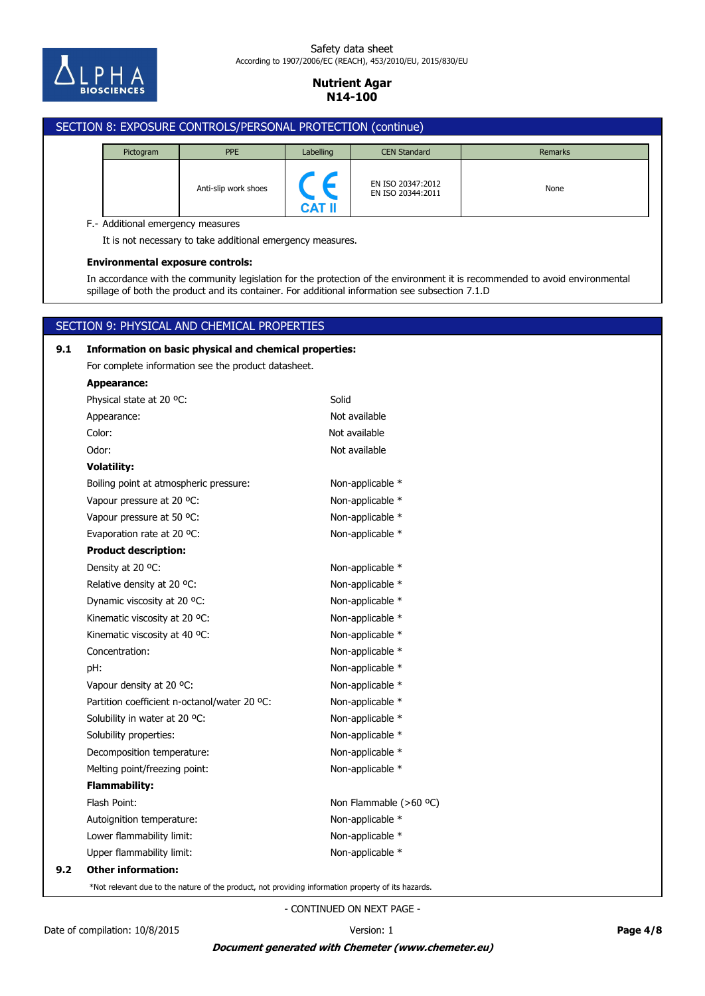

#### Safety data sheet According to 1907/2006/EC (REACH), 453/2010/EU, 2015/830/EU

# **Nutrient Agar N14-100**

# SECTION 8: EXPOSURE CONTROLS/PERSONAL PROTECTION (continue) Pictogram **PPE** PPE Labelling CEN Standard **Remarks** EN ISO 20347:2012 Anti-slip work shoes<br>EN ISO 20344:2011 **CAT II** F.- Additional emergency measures It is not necessary to take additional emergency measures. **Environmental exposure controls:** In accordance with the community legislation for the protection of the environment it is recommended to avoid environmental spillage of both the product and its container. For additional information see subsection 7.1.D SECTION 9: PHYSICAL AND CHEMICAL PROPERTIES **9.1 Information on basic physical and chemical properties:** For complete information see the product datasheet. **Appearance:** Physical state at 20 °C: Solid Appearance: Not available Color: Not available Odor: Not available **Volatility:** Boiling point at atmospheric pressure: Non-applicable \* Vapour pressure at 20 °C: Non-applicable \* Vapour pressure at 50 °C: Non-applicable \* Evaporation rate at 20 °C: Non-applicable \* **Product description:** Density at 20 °C: Non-applicable \* Relative density at 20 °C: Non-applicable \* Dynamic viscosity at 20 °C: Non-applicable \* Kinematic viscosity at 20 °C: Non-applicable \* Kinematic viscosity at 40 °C:  $\blacksquare$  Non-applicable  $*$ Concentration: Non-applicable \*

pH: Non-applicable \*

| <b>Flammability:</b>      |
|---------------------------|
| Flash Point:              |
| Autoignition temperature: |
| Lower flammability limit: |
| Upper flammability limit: |
| <b>Other information:</b> |

\*Not relevant due to the nature of the product, not providing information property of its hazards.

Melting point/freezing point: Non-applicable \* Decomposition temperature: Non-applicable \* Solubility properties: Non-applicable \* Solubility in water at 20 °C: Non-applicable \* Partition coefficient n-octanol/water 20 °C: Non-applicable \* Vapour density at 20 °C: Non-applicable \*

- CONTINUED ON NEXT PAGE -

**9.2 Other information:**

Non-applicable \* Non-applicable \* Non-applicable \*

Non Flammable (>60 °C)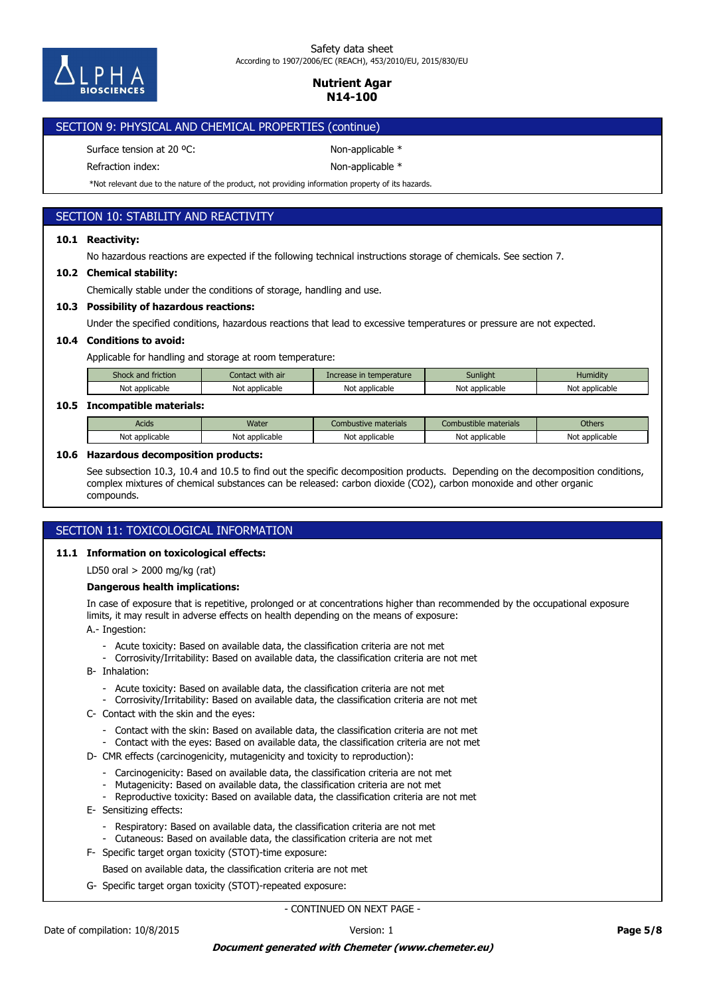

#### Safety data sheet According to 1907/2006/EC (REACH), 453/2010/EU, 2015/830/EU

# **Nutrient Agar N14-100**

| SECTION 9: PHYSICAL AND CHEMICAL PROPERTIES (continue) |                    |
|--------------------------------------------------------|--------------------|
| Surface tension at 20 °C.                              | Non-applicable $*$ |

Refraction index: Non-applicable \*

\*Not relevant due to the nature of the product, not providing information property of its hazards.

# SECTION 10: STABILITY AND REACTIVITY

### **10.1 Reactivity:**

No hazardous reactions are expected if the following technical instructions storage of chemicals. See section 7.

### **10.2 Chemical stability:**

Chemically stable under the conditions of storage, handling and use.

### **10.3 Possibility of hazardous reactions:**

Under the specified conditions, hazardous reactions that lead to excessive temperatures or pressure are not expected.

### **10.4 Conditions to avoid:**

Applicable for handling and storage at room temperature:

| Shock and friction . | Contact with air | Increase in temperature | Sunlight       | Humiditv       |
|----------------------|------------------|-------------------------|----------------|----------------|
| Not applicable       | Not applicable   | Not<br>: applicable     | Not applicable | Not applicable |

### **10.5 Incompatible materials:**

| Acids      | <b>Water</b>            | Combustive materials | Combustible materials   | <b>Others</b>   |
|------------|-------------------------|----------------------|-------------------------|-----------------|
| Not        | <sup>.</sup> applicable | $\cdot$ .            | N∩                      | No <sup>®</sup> |
| applicable | Not                     | Not applicable       | applicable <sup>.</sup> | : applicable    |

### **10.6 Hazardous decomposition products:**

See subsection 10.3, 10.4 and 10.5 to find out the specific decomposition products. Depending on the decomposition conditions, complex mixtures of chemical substances can be released: carbon dioxide (CO2), carbon monoxide and other organic compounds.

## SECTION 11: TOXICOLOGICAL INFORMATION

### **11.1 Information on toxicological effects:**

LD50 oral > 2000 mg/kg (rat)

### **Dangerous health implications:**

In case of exposure that is repetitive, prolonged or at concentrations higher than recommended by the occupational exposure limits, it may result in adverse effects on health depending on the means of exposure:

A.- Ingestion:

- Acute toxicity: Based on available data, the classification criteria are not met
- Corrosivity/Irritability: Based on available data, the classification criteria are not met
- B- Inhalation:
	- Acute toxicity: Based on available data, the classification criteria are not met
	- Corrosivity/Irritability: Based on available data, the classification criteria are not met
- C- Contact with the skin and the eyes:
	- Contact with the skin: Based on available data, the classification criteria are not met
	- Contact with the eyes: Based on available data, the classification criteria are not met
- D- CMR effects (carcinogenicity, mutagenicity and toxicity to reproduction):
	- Carcinogenicity: Based on available data, the classification criteria are not met
	- Mutagenicity: Based on available data, the classification criteria are not met
	- Reproductive toxicity: Based on available data, the classification criteria are not met
- E- Sensitizing effects:
	- Respiratory: Based on available data, the classification criteria are not met
	- Cutaneous: Based on available data, the classification criteria are not met
- F- Specific target organ toxicity (STOT)-time exposure:
	- Based on available data, the classification criteria are not met
- G- Specific target organ toxicity (STOT)-repeated exposure: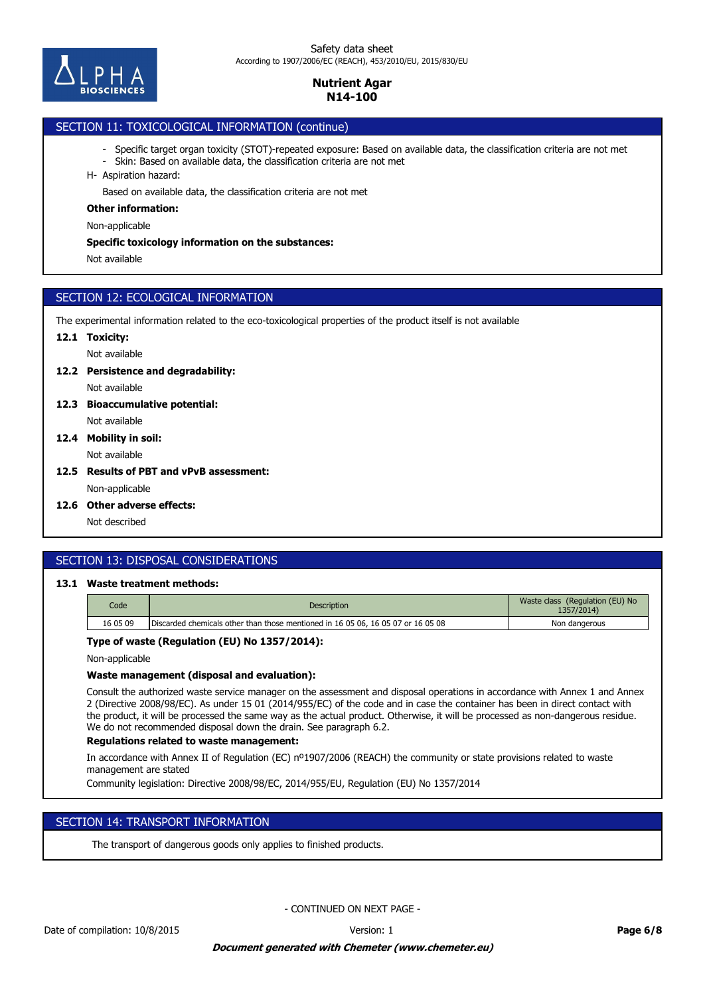

# SECTION 11: TOXICOLOGICAL INFORMATION (continue)

- Specific target organ toxicity (STOT)-repeated exposure: Based on available data, the classification criteria are not met
- Skin: Based on available data, the classification criteria are not met
- H- Aspiration hazard:

Based on available data, the classification criteria are not met

#### **Other information:**

Non-applicable

#### **Specific toxicology information on the substances:**

Not available

## SECTION 12: ECOLOGICAL INFORMATION

The experimental information related to the eco-toxicological properties of the product itself is not available

### **12.1 Toxicity:**

Not available

### **12.2 Persistence and degradability:**

Not available

- Not available **12.3 Bioaccumulative potential:**
- Not available **12.4 Mobility in soil:**
- **12.5 Results of PBT and vPvB assessment:**

Non-applicable

**12.6 Other adverse effects:**

Not described

# SECTION 13: DISPOSAL CONSIDERATIONS

# **13.1 Waste treatment methods:**

| Code     | <b>Description</b>                                                               | Waste class (Regulation (EU) No<br>1357/2014) |
|----------|----------------------------------------------------------------------------------|-----------------------------------------------|
| 16 05 09 | Discarded chemicals other than those mentioned in 16 05 06, 16 05 07 or 16 05 08 | Non dangerous                                 |

## **Type of waste (Regulation (EU) No 1357/2014):**

Non-applicable

### **Waste management (disposal and evaluation):**

Consult the authorized waste service manager on the assessment and disposal operations in accordance with Annex 1 and Annex 2 (Directive 2008/98/EC). As under 15 01 (2014/955/EC) of the code and in case the container has been in direct contact with the product, it will be processed the same way as the actual product. Otherwise, it will be processed as non-dangerous residue. We do not recommended disposal down the drain. See paragraph 6.2.

### **Regulations related to waste management:**

In accordance with Annex II of Regulation (EC) nº1907/2006 (REACH) the community or state provisions related to waste management are stated

Community legislation: Directive 2008/98/EC, 2014/955/EU, Regulation (EU) No 1357/2014

## SECTION 14: TRANSPORT INFORMATION

The transport of dangerous goods only applies to finished products.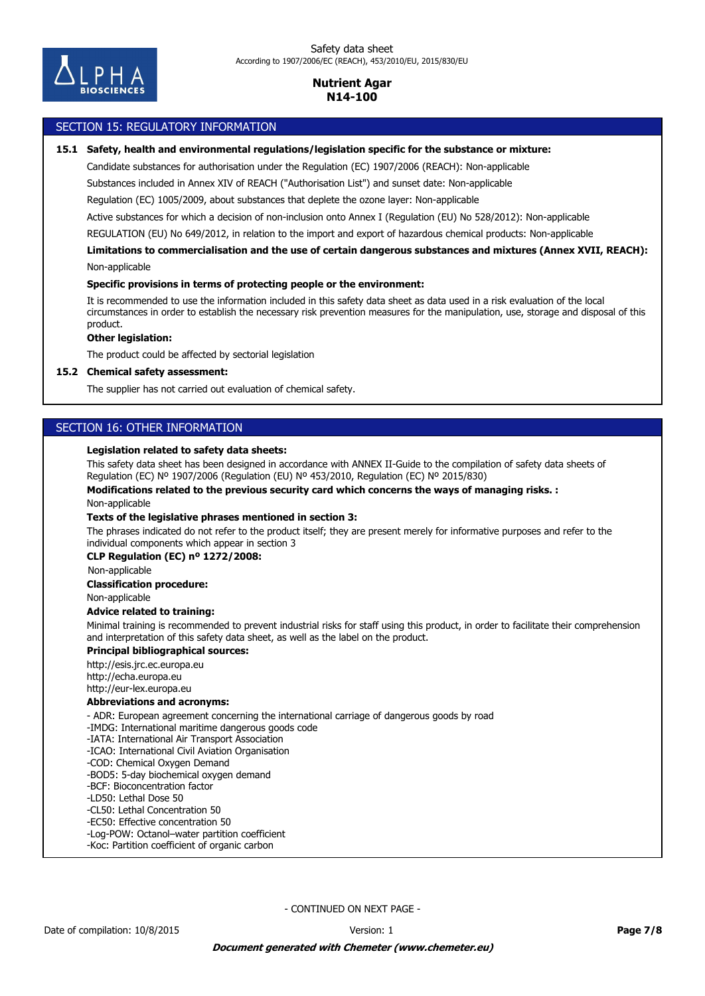

### SECTION 15: REGULATORY INFORMATION

#### **15.1 Safety, health and environmental regulations/legislation specific for the substance or mixture:**

Candidate substances for authorisation under the Regulation (EC) 1907/2006 (REACH): Non-applicable

Substances included in Annex XIV of REACH ("Authorisation List") and sunset date: Non-applicable

Regulation (EC) 1005/2009, about substances that deplete the ozone layer: Non-applicable

Active substances for which a decision of non-inclusion onto Annex I (Regulation (EU) No 528/2012): Non-applicable

REGULATION (EU) No 649/2012, in relation to the import and export of hazardous chemical products: Non-applicable

Non-applicable **Limitations to commercialisation and the use of certain dangerous substances and mixtures (Annex XVII, REACH):**

#### **Specific provisions in terms of protecting people or the environment:**

It is recommended to use the information included in this safety data sheet as data used in a risk evaluation of the local circumstances in order to establish the necessary risk prevention measures for the manipulation, use, storage and disposal of this product.

### **Other legislation:**

The product could be affected by sectorial legislation

#### **15.2 Chemical safety assessment:**

The supplier has not carried out evaluation of chemical safety.

### SECTION 16: OTHER INFORMATION

#### **Legislation related to safety data sheets:**

This safety data sheet has been designed in accordance with ANNEX II-Guide to the compilation of safety data sheets of Regulation (EC) Nº 1907/2006 (Regulation (EU) Nº 453/2010, Regulation (EC) Nº 2015/830)

**Modifications related to the previous security card which concerns the ways of managing risks. :**

Non-applicable

#### **Texts of the legislative phrases mentioned in section 3:**

The phrases indicated do not refer to the product itself; they are present merely for informative purposes and refer to the individual components which appear in section 3

#### **CLP Regulation (EC) nº 1272/2008:**

Non-applicable

#### **Classification procedure:**

Non-applicable

### **Advice related to training:**

Minimal training is recommended to prevent industrial risks for staff using this product, in order to facilitate their comprehension and interpretation of this safety data sheet, as well as the label on the product.

### **Principal bibliographical sources:**

http://esis.jrc.ec.europa.eu http://echa.europa.eu http://eur-lex.europa.eu

### **Abbreviations and acronyms:**

- ADR: European agreement concerning the international carriage of dangerous goods by road

- -IMDG: International maritime dangerous goods code
- -IATA: International Air Transport Association
- -ICAO: International Civil Aviation Organisation
- -COD: Chemical Oxygen Demand
- -BOD5: 5-day biochemical oxygen demand
- -BCF: Bioconcentration factor
- -LD50: Lethal Dose 50
- -CL50: Lethal Concentration 50
- -EC50: Effective concentration 50 -Log-POW: Octanol–water partition coefficient
- -Koc: Partition coefficient of organic carbon
-